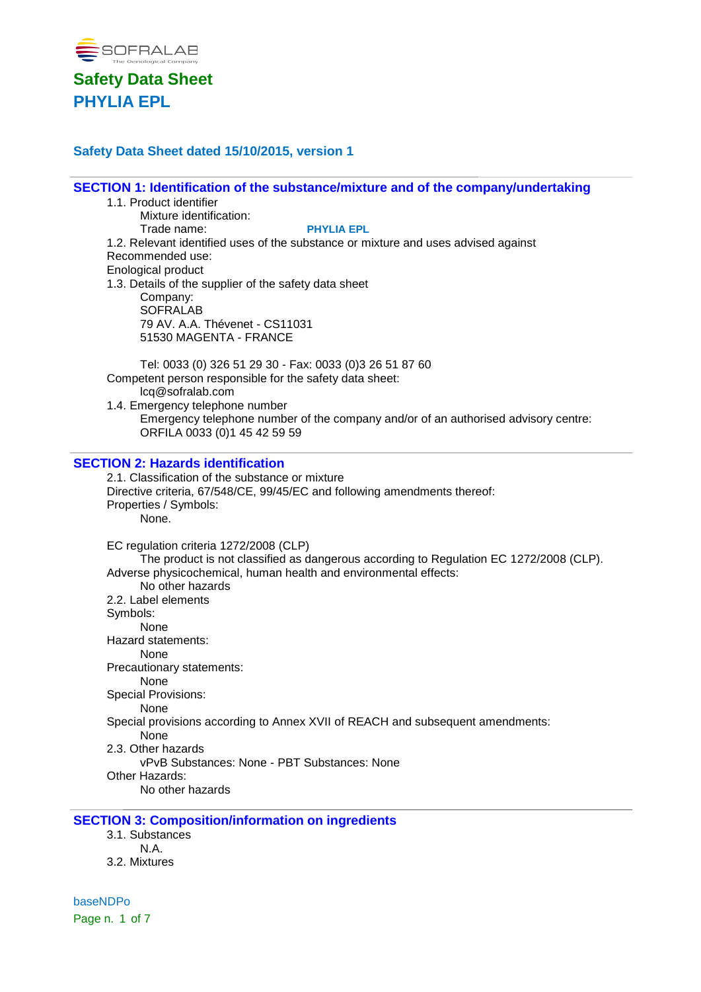

### **Safety Data Sheet dated 15/10/2015, version 1**

**SECTION 1: Identification of the substance/mixture and of the company/undertaking**

- 1.1. Product identifier
	- Mixture identification:

Trade name: **PHYLIA EPL**

1.2. Relevant identified uses of the substance or mixture and uses advised against Recommended use:

Enological product

1.3. Details of the supplier of the safety data sheet Company: **SOFRALAB** 79 AV. A.A. Thévenet - CS11031 51530 MAGENTA - FRANCE

Tel: 0033 (0) 326 51 29 30 - Fax: 0033 (0)3 26 51 87 60 Competent person responsible for the safety data sheet: lcq@sofralab.com

1.4. Emergency telephone number Emergency telephone number of the company and/or of an authorised advisory centre: ORFILA 0033 (0)1 45 42 59 59

### **SECTION 2: Hazards identification**

2.1. Classification of the substance or mixture Directive criteria, 67/548/CE, 99/45/EC and following amendments thereof: Properties / Symbols: None. EC regulation criteria 1272/2008 (CLP) The product is not classified as dangerous according to Regulation EC 1272/2008 (CLP). Adverse physicochemical, human health and environmental effects: No other hazards 2.2. Label elements Symbols: None Hazard statements: None Precautionary statements: None Special Provisions: None Special provisions according to Annex XVII of REACH and subsequent amendments: None 2.3. Other hazards vPvB Substances: None - PBT Substances: None Other Hazards:

No other hazards

#### **SECTION 3: Composition/information on ingredients**

- 3.1. Substances N.A.
- 3.2. Mixtures

baseNDPo Page n. 1 of 7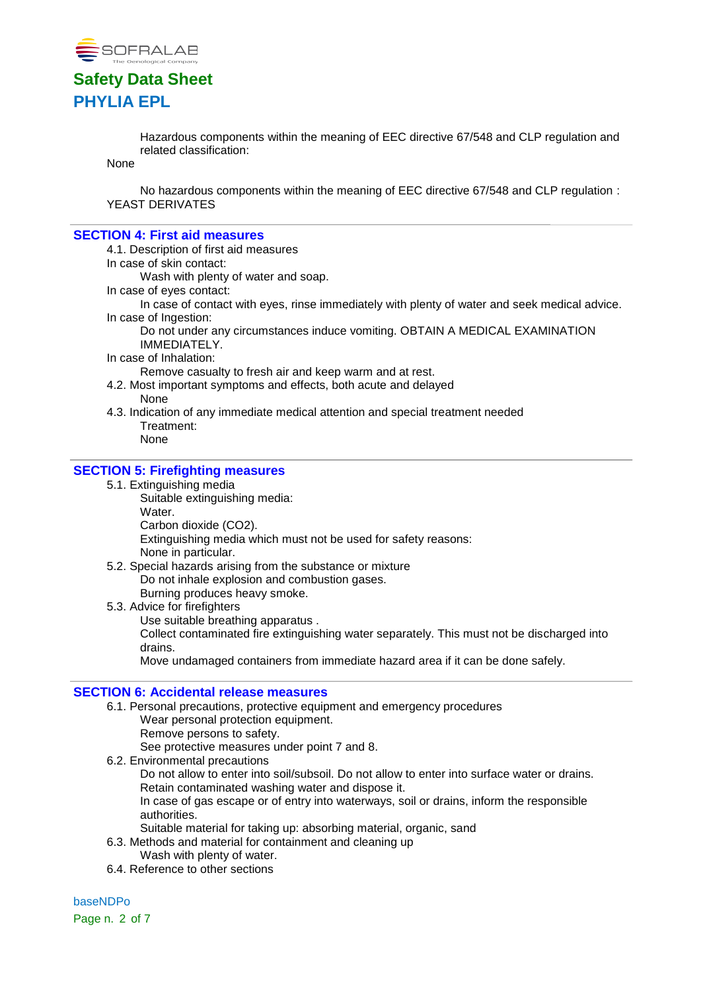

Hazardous components within the meaning of EEC directive 67/548 and CLP regulation and related classification:

None

No hazardous components within the meaning of EEC directive 67/548 and CLP regulation : YEAST DERIVATES

#### **SECTION 4: First aid measures**

4.1. Description of first aid measures

In case of skin contact:

Wash with plenty of water and soap.

- In case of eyes contact:
- In case of contact with eyes, rinse immediately with plenty of water and seek medical advice. In case of Ingestion:

Do not under any circumstances induce vomiting. OBTAIN A MEDICAL EXAMINATION IMMEDIATELY.

In case of Inhalation:

Remove casualty to fresh air and keep warm and at rest.

- 4.2. Most important symptoms and effects, both acute and delayed None
- 4.3. Indication of any immediate medical attention and special treatment needed Treatment: None

### **SECTION 5: Firefighting measures**

- 5.1. Extinguishing media
	- Suitable extinguishing media: Water. Carbon dioxide (CO2).

Extinguishing media which must not be used for safety reasons: None in particular.

- 5.2. Special hazards arising from the substance or mixture Do not inhale explosion and combustion gases. Burning produces heavy smoke.
- 5.3. Advice for firefighters Use suitable breathing apparatus . Collect contaminated fire extinguishing water separately. This must not be discharged into drains. Move undamaged containers from immediate hazard area if it can be done safely.

#### **SECTION 6: Accidental release measures**

- 6.1. Personal precautions, protective equipment and emergency procedures
	- Wear personal protection equipment.
	- Remove persons to safety.

See protective measures under point 7 and 8.

6.2. Environmental precautions

Do not allow to enter into soil/subsoil. Do not allow to enter into surface water or drains. Retain contaminated washing water and dispose it.

In case of gas escape or of entry into waterways, soil or drains, inform the responsible authorities.

- Suitable material for taking up: absorbing material, organic, sand
- 6.3. Methods and material for containment and cleaning up
	- Wash with plenty of water.
- 6.4. Reference to other sections

baseNDPo

Page n. 2 of 7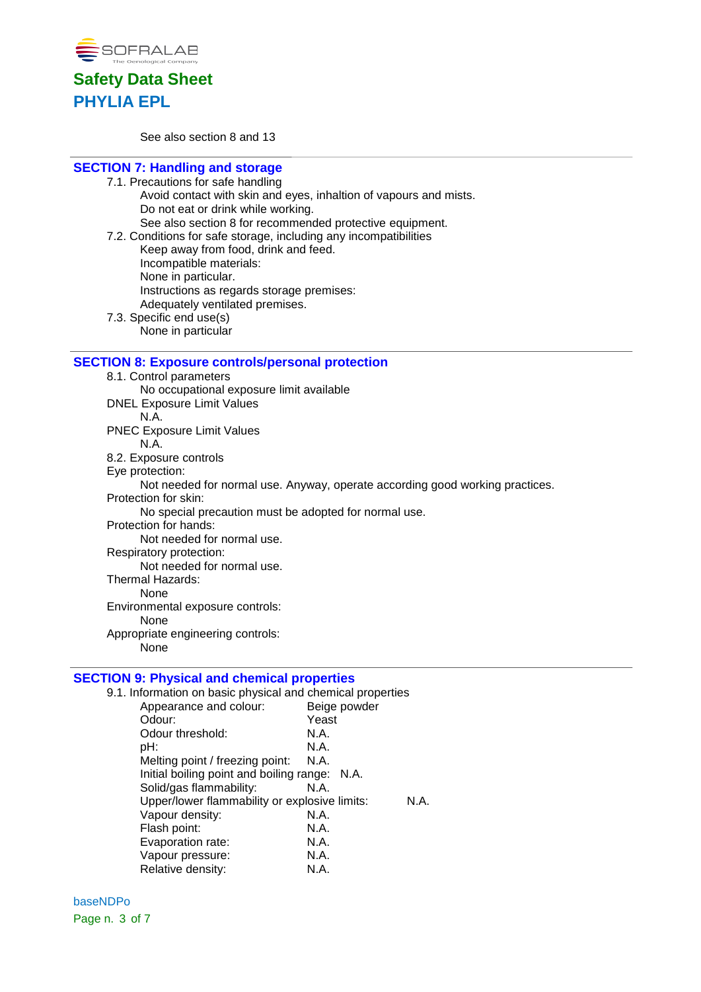

See also section 8 and 13

## **SECTION 7: Handling and storage**

- 7.1. Precautions for safe handling Avoid contact with skin and eyes, inhaltion of vapours and mists. Do not eat or drink while working. See also section 8 for recommended protective equipment. 7.2. Conditions for safe storage, including any incompatibilities
- Keep away from food, drink and feed. Incompatible materials: None in particular. Instructions as regards storage premises: Adequately ventilated premises. 7.3. Specific end use(s)
	- None in particular

### **SECTION 8: Exposure controls/personal protection**

8.1. Control parameters No occupational exposure limit available DNEL Exposure Limit Values N.A. PNEC Exposure Limit Values N.A. 8.2. Exposure controls Eye protection: Not needed for normal use. Anyway, operate according good working practices. Protection for skin: No special precaution must be adopted for normal use. Protection for hands: Not needed for normal use. Respiratory protection: Not needed for normal use. Thermal Hazards: None Environmental exposure controls: None

Appropriate engineering controls:

None

# **SECTION 9: Physical and chemical properties**<br>9.1. Information on basic physical and chemical

| 9.1. Information on basic physical and chemical properties |              |
|------------------------------------------------------------|--------------|
| Appearance and colour:                                     | Beige powder |
| Odour:                                                     | Yeast        |
| Odour threshold:                                           | N.A.         |
| pH:                                                        | N.A.         |
| Melting point / freezing point:                            | N.A.         |
| Initial boiling point and boiling range: N.A.              |              |
| Solid/gas flammability:                                    | N.A.         |
| Upper/lower flammability or explosive limits:              | N.A.         |
| Vapour density:                                            | N.A.         |
| Flash point:                                               | N.A.         |
| Evaporation rate:                                          | N.A.         |
| Vapour pressure:                                           | N.A.         |
| Relative density:                                          | N.A.         |

baseNDPo Page n. 3 of 7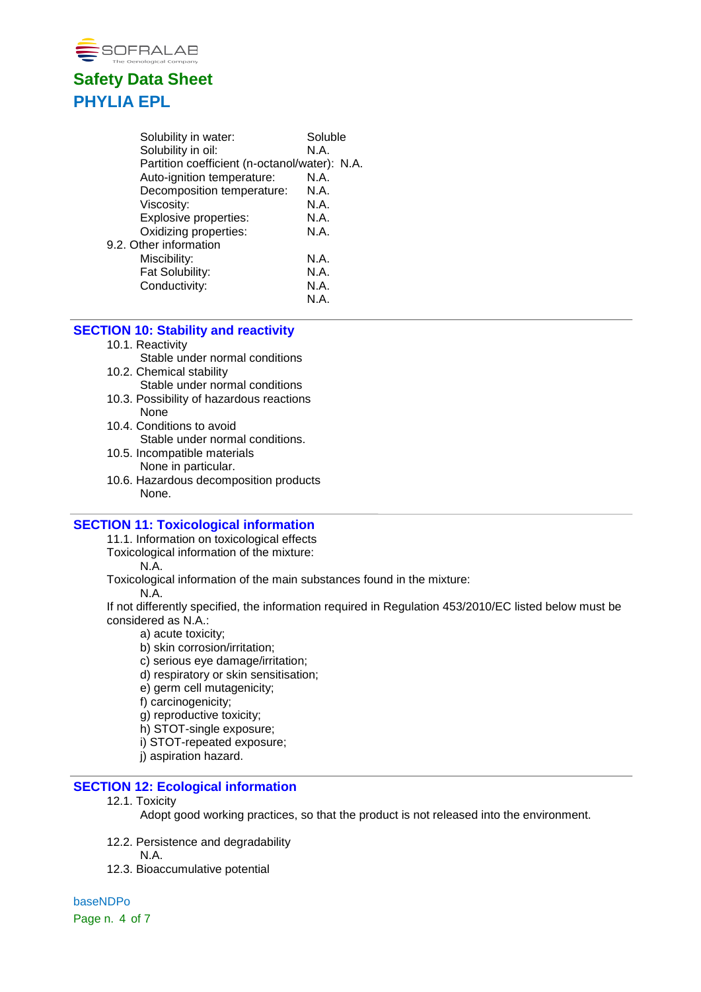

| Solubility in water:                          | Soluble |
|-----------------------------------------------|---------|
| Solubility in oil:                            | N.A.    |
| Partition coefficient (n-octanol/water): N.A. |         |
| Auto-ignition temperature:                    | N.A.    |
| Decomposition temperature:                    | N.A.    |
| Viscosity:                                    | N.A.    |
| <b>Explosive properties:</b>                  | N.A.    |
| Oxidizing properties:                         | N.A.    |
| 9.2. Other information                        |         |
| Miscibility:                                  | N.A.    |
| Fat Solubility:                               | N.A.    |
| Conductivity:                                 | N.A.    |
|                                               | N.A.    |

### **SECTION 10: Stability and reactivity**

#### 10.1. Reactivity

- Stable under normal conditions
- 10.2. Chemical stability Stable under normal conditions
- 10.3. Possibility of hazardous reactions None
- 10.4. Conditions to avoid Stable under normal conditions.
- 10.5. Incompatible materials None in particular.
- 10.6. Hazardous decomposition products None.

### **SECTION 11: Toxicological information**

11.1. Information on toxicological effects

Toxicological information of the mixture:

N.A.

Toxicological information of the main substances found in the mixture:

N.A.

If not differently specified, the information required in Regulation 453/2010/EC listed below must be considered as N.A.:

- a) acute toxicity;
- b) skin corrosion/irritation;
- c) serious eye damage/irritation;
- d) respiratory or skin sensitisation;
- e) germ cell mutagenicity;
- f) carcinogenicity;
- g) reproductive toxicity;
- h) STOT-single exposure;
- i) STOT-repeated exposure;
- j) aspiration hazard.

### **SECTION 12: Ecological information**

12.1. Toxicity

Adopt good working practices, so that the product is not released into the environment.

- 12.2. Persistence and degradability
	- N.A.
- 12.3. Bioaccumulative potential

baseNDPo Page n. 4 of 7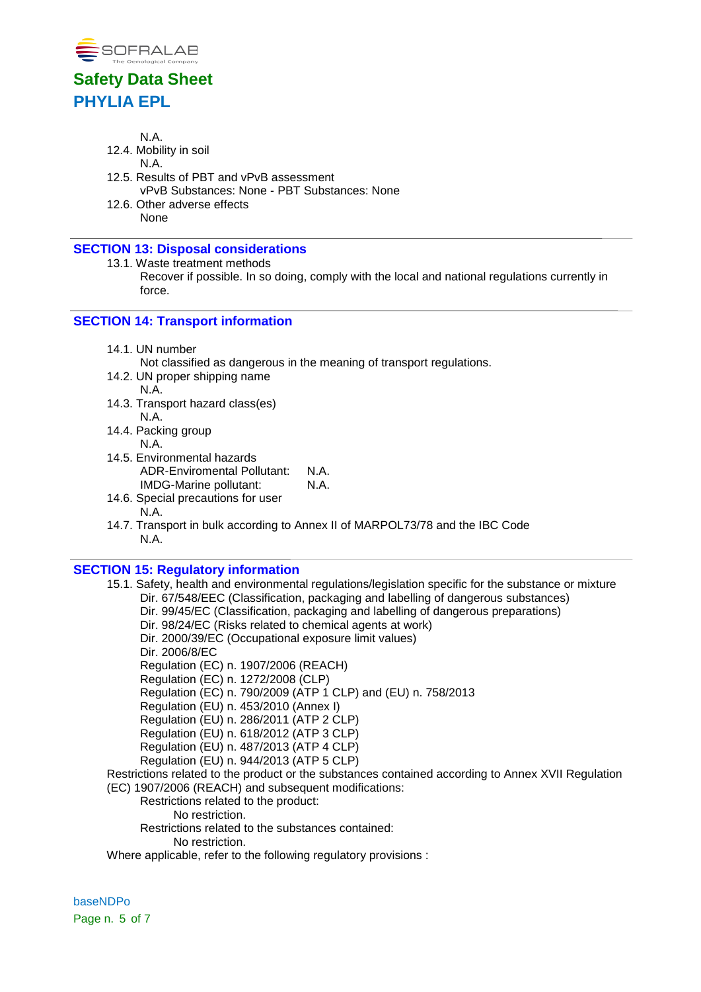

N.A.

- 12.4. Mobility in soil
	- N.A.
- 12.5. Results of PBT and vPvB assessment vPvB Substances: None - PBT Substances: None
- 12.6. Other adverse effects None

### **SECTION 13: Disposal considerations**

13.1. Waste treatment methods

Recover if possible. In so doing, comply with the local and national regulations currently in force.

## **SECTION 14: Transport information**

14.1. UN number

Not classified as dangerous in the meaning of transport regulations.

- 14.2. UN proper shipping name N.A.
- 14.3. Transport hazard class(es) N.A.
- 14.4. Packing group N.A.
- 14.5. Environmental hazards ADR-Enviromental Pollutant: N.A. IMDG-Marine pollutant: N.A.
- 14.6. Special precautions for user N.A.
- 14.7. Transport in bulk according to Annex II of MARPOL73/78 and the IBC Code N.A.

## **SECTION 15: Regulatory information**

15.1. Safety, health and environmental regulations/legislation specific for the substance or mixture Dir. 67/548/EEC (Classification, packaging and labelling of dangerous substances) Dir. 99/45/EC (Classification, packaging and labelling of dangerous preparations) Dir. 98/24/EC (Risks related to chemical agents at work) Dir. 2000/39/EC (Occupational exposure limit values) Dir. 2006/8/EC Regulation (EC) n. 1907/2006 (REACH) Regulation (EC) n. 1272/2008 (CLP) Regulation (EC) n. 790/2009 (ATP 1 CLP) and (EU) n. 758/2013 Regulation (EU) n. 453/2010 (Annex I) Regulation (EU) n. 286/2011 (ATP 2 CLP) Regulation (EU) n. 618/2012 (ATP 3 CLP) Regulation (EU) n. 487/2013 (ATP 4 CLP) Regulation (EU) n. 944/2013 (ATP 5 CLP) Restrictions related to the product or the substances contained according to Annex XVII Regulation (EC) 1907/2006 (REACH) and subsequent modifications: Restrictions related to the product: No restriction. Restrictions related to the substances contained:

No restriction.

Where applicable, refer to the following regulatory provisions :

baseNDPo Page n. 5 of 7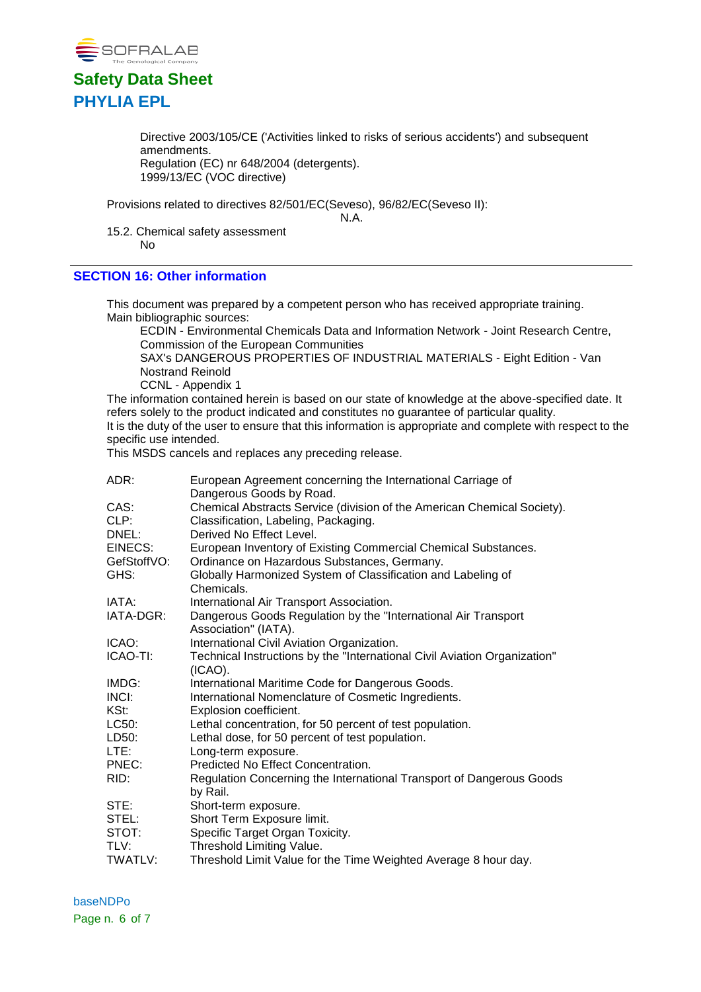

Directive 2003/105/CE ('Activities linked to risks of serious accidents') and subsequent amendments. Regulation (EC) nr 648/2004 (detergents). 1999/13/EC (VOC directive)

Provisions related to directives 82/501/EC(Seveso), 96/82/EC(Seveso II):

N.A.

15.2. Chemical safety assessment No

### **SECTION 16: Other information**

This document was prepared by a competent person who has received appropriate training. Main bibliographic sources:

ECDIN - Environmental Chemicals Data and Information Network - Joint Research Centre, Commission of the European Communities

SAX's DANGEROUS PROPERTIES OF INDUSTRIAL MATERIALS - Eight Edition - Van Nostrand Reinold

CCNL - Appendix 1

The information contained herein is based on our state of knowledge at the above-specified date. It refers solely to the product indicated and constitutes no guarantee of particular quality. It is the duty of the user to ensure that this information is appropriate and complete with respect to the specific use intended.

This MSDS cancels and replaces any preceding release.

| ADR:        | European Agreement concerning the International Carriage of                             |
|-------------|-----------------------------------------------------------------------------------------|
|             | Dangerous Goods by Road.                                                                |
| CAS:        | Chemical Abstracts Service (division of the American Chemical Society).                 |
| CLP:        | Classification, Labeling, Packaging.                                                    |
| DNEL:       | Derived No Effect Level.                                                                |
| EINECS:     | European Inventory of Existing Commercial Chemical Substances.                          |
| GefStoffVO: | Ordinance on Hazardous Substances, Germany.                                             |
| GHS:        | Globally Harmonized System of Classification and Labeling of<br>Chemicals.              |
| IATA:       | International Air Transport Association.                                                |
| IATA-DGR:   | Dangerous Goods Regulation by the "International Air Transport<br>Association" (IATA).  |
| ICAO:       | International Civil Aviation Organization.                                              |
| ICAO-TI:    | Technical Instructions by the "International Civil Aviation Organization"<br>$(ICAO)$ . |
| IMDG:       | International Maritime Code for Dangerous Goods.                                        |
| INCI:       | International Nomenclature of Cosmetic Ingredients.                                     |
| KSt:        | Explosion coefficient.                                                                  |
| LC50:       | Lethal concentration, for 50 percent of test population.                                |
| LD50:       | Lethal dose, for 50 percent of test population.                                         |
| LTE:        | Long-term exposure.                                                                     |
| PNEC:       | Predicted No Effect Concentration.                                                      |
| RID:        | Regulation Concerning the International Transport of Dangerous Goods<br>by Rail.        |
| STE:        | Short-term exposure.                                                                    |
| STEL:       | Short Term Exposure limit.                                                              |
| STOT:       | Specific Target Organ Toxicity.                                                         |
| TLV:        | Threshold Limiting Value.                                                               |
| TWATLV:     | Threshold Limit Value for the Time Weighted Average 8 hour day.                         |

baseNDPo Page n. 6 of 7